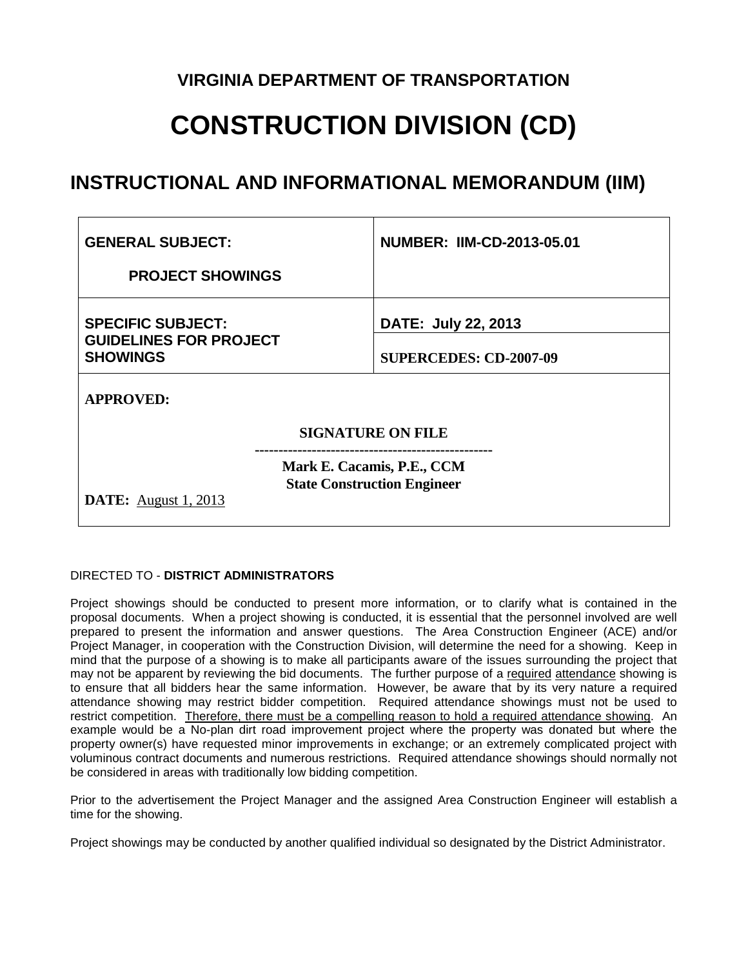### **VIRGINIA DEPARTMENT OF TRANSPORTATION**

# **CONSTRUCTION DIVISION (CD)**

## **INSTRUCTIONAL AND INFORMATIONAL MEMORANDUM (IIM)**

| <b>GENERAL SUBJECT:</b>                                                      |                                                                  | <b>NUMBER: IIM-CD-2013-05.01</b> |
|------------------------------------------------------------------------------|------------------------------------------------------------------|----------------------------------|
| <b>PROJECT SHOWINGS</b>                                                      |                                                                  |                                  |
| <b>SPECIFIC SUBJECT:</b><br><b>GUIDELINES FOR PROJECT</b><br><b>SHOWINGS</b> |                                                                  | DATE: July 22, 2013              |
|                                                                              |                                                                  | <b>SUPERCEDES: CD-2007-09</b>    |
| <b>APPROVED:</b>                                                             |                                                                  |                                  |
| <b>SIGNATURE ON FILE</b>                                                     |                                                                  |                                  |
|                                                                              | Mark E. Cacamis, P.E., CCM<br><b>State Construction Engineer</b> |                                  |
| <b>DATE:</b> August 1, 2013                                                  |                                                                  |                                  |

#### DIRECTED TO - **DISTRICT ADMINISTRATORS**

Project showings should be conducted to present more information, or to clarify what is contained in the proposal documents. When a project showing is conducted, it is essential that the personnel involved are well prepared to present the information and answer questions. The Area Construction Engineer (ACE) and/or Project Manager, in cooperation with the Construction Division, will determine the need for a showing. Keep in mind that the purpose of a showing is to make all participants aware of the issues surrounding the project that may not be apparent by reviewing the bid documents. The further purpose of a required attendance showing is to ensure that all bidders hear the same information. However, be aware that by its very nature a required attendance showing may restrict bidder competition. Required attendance showings must not be used to restrict competition. Therefore, there must be a compelling reason to hold a required attendance showing. An example would be a No-plan dirt road improvement project where the property was donated but where the property owner(s) have requested minor improvements in exchange; or an extremely complicated project with voluminous contract documents and numerous restrictions. Required attendance showings should normally not be considered in areas with traditionally low bidding competition.

Prior to the advertisement the Project Manager and the assigned Area Construction Engineer will establish a time for the showing.

Project showings may be conducted by another qualified individual so designated by the District Administrator.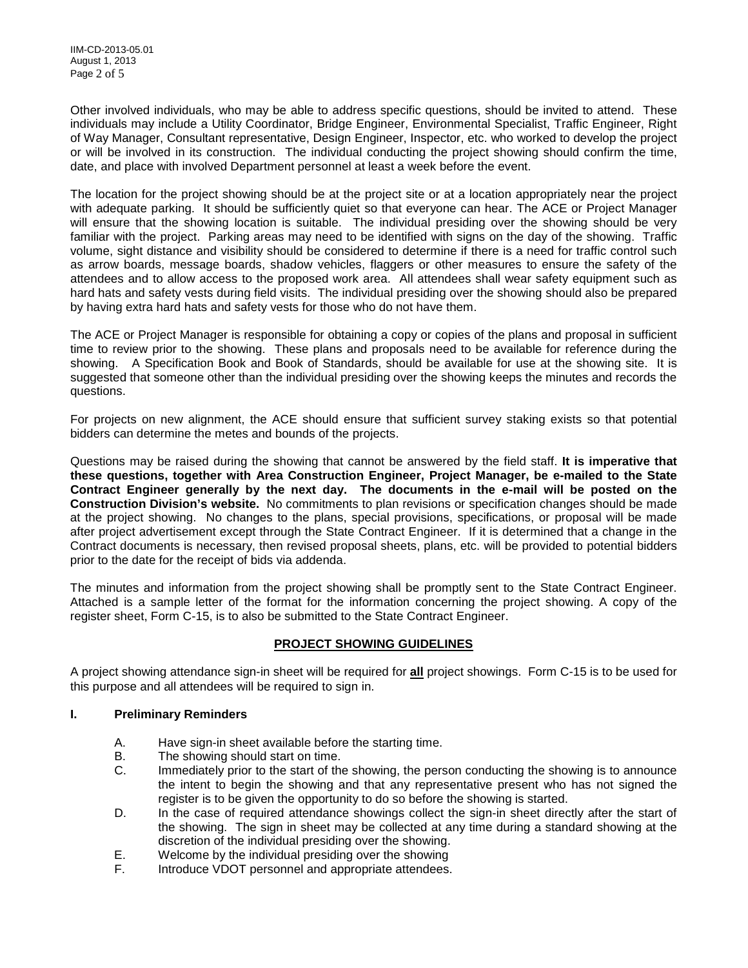Other involved individuals, who may be able to address specific questions, should be invited to attend. These individuals may include a Utility Coordinator, Bridge Engineer, Environmental Specialist, Traffic Engineer, Right of Way Manager, Consultant representative, Design Engineer, Inspector, etc. who worked to develop the project or will be involved in its construction. The individual conducting the project showing should confirm the time, date, and place with involved Department personnel at least a week before the event.

The location for the project showing should be at the project site or at a location appropriately near the project with adequate parking. It should be sufficiently quiet so that everyone can hear. The ACE or Project Manager will ensure that the showing location is suitable. The individual presiding over the showing should be very familiar with the project. Parking areas may need to be identified with signs on the day of the showing. Traffic volume, sight distance and visibility should be considered to determine if there is a need for traffic control such as arrow boards, message boards, shadow vehicles, flaggers or other measures to ensure the safety of the attendees and to allow access to the proposed work area. All attendees shall wear safety equipment such as hard hats and safety vests during field visits. The individual presiding over the showing should also be prepared by having extra hard hats and safety vests for those who do not have them.

The ACE or Project Manager is responsible for obtaining a copy or copies of the plans and proposal in sufficient time to review prior to the showing. These plans and proposals need to be available for reference during the showing. A Specification Book and Book of Standards, should be available for use at the showing site. It is suggested that someone other than the individual presiding over the showing keeps the minutes and records the questions.

For projects on new alignment, the ACE should ensure that sufficient survey staking exists so that potential bidders can determine the metes and bounds of the projects.

Questions may be raised during the showing that cannot be answered by the field staff. **It is imperative that these questions, together with Area Construction Engineer, Project Manager, be e-mailed to the State Contract Engineer generally by the next day. The documents in the e-mail will be posted on the Construction Division's website.** No commitments to plan revisions or specification changes should be made at the project showing. No changes to the plans, special provisions, specifications, or proposal will be made after project advertisement except through the State Contract Engineer. If it is determined that a change in the Contract documents is necessary, then revised proposal sheets, plans, etc. will be provided to potential bidders prior to the date for the receipt of bids via addenda.

The minutes and information from the project showing shall be promptly sent to the State Contract Engineer. Attached is a sample letter of the format for the information concerning the project showing. A copy of the register sheet, Form C-15, is to also be submitted to the State Contract Engineer.

#### **PROJECT SHOWING GUIDELINES**

A project showing attendance sign-in sheet will be required for **all** project showings. Form C-15 is to be used for this purpose and all attendees will be required to sign in.

#### **I. Preliminary Reminders**

- A. Have sign-in sheet available before the starting time.
- B. The showing should start on time.
- C. Immediately prior to the start of the showing, the person conducting the showing is to announce the intent to begin the showing and that any representative present who has not signed the register is to be given the opportunity to do so before the showing is started.
- D. In the case of required attendance showings collect the sign-in sheet directly after the start of the showing. The sign in sheet may be collected at any time during a standard showing at the discretion of the individual presiding over the showing.
- E. Welcome by the individual presiding over the showing
- F. Introduce VDOT personnel and appropriate attendees.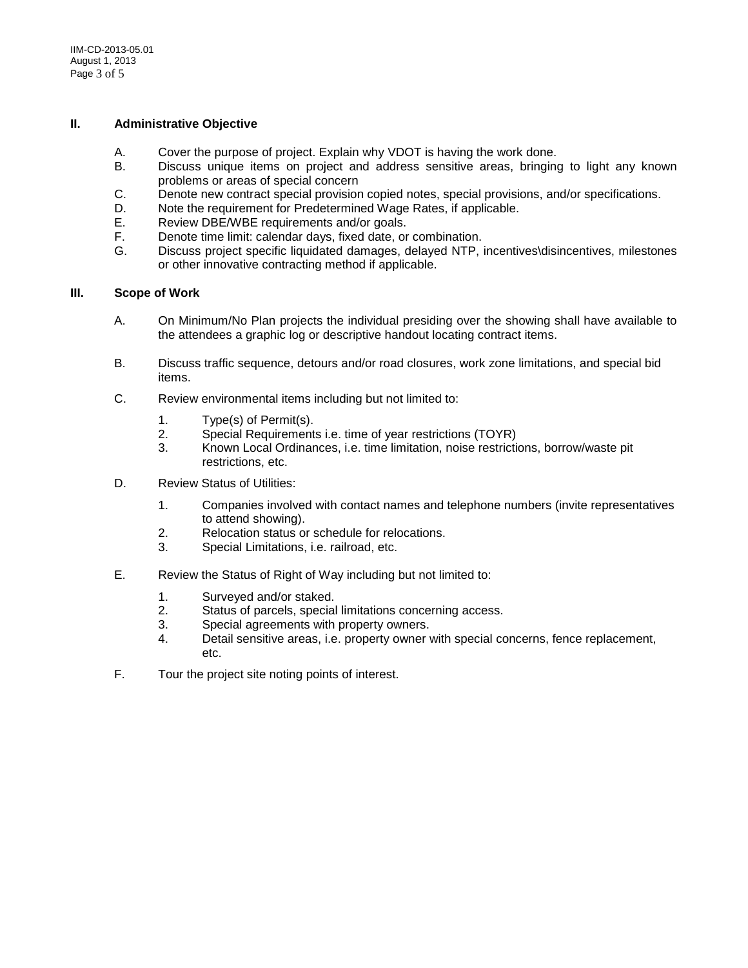#### **II. Administrative Objective**

- A. Cover the purpose of project. Explain why VDOT is having the work done.
- B. Discuss unique items on project and address sensitive areas, bringing to light any known problems or areas of special concern
- C. Denote new contract special provision copied notes, special provisions, and/or specifications.<br>D. Note the requirement for Predetermined Wage Rates. if applicable.
- D. Note the requirement for Predetermined Wage Rates, if applicable.<br>E. Review DBE/WBE requirements and/or goals.
- Review DBE/WBE requirements and/or goals.
- F. Denote time limit: calendar days, fixed date, or combination.
- Discuss project specific liquidated damages, delayed NTP, incentives\disincentives, milestones or other innovative contracting method if applicable.

#### **III. Scope of Work**

- A. On Minimum/No Plan projects the individual presiding over the showing shall have available to the attendees a graphic log or descriptive handout locating contract items.
- B. Discuss traffic sequence, detours and/or road closures, work zone limitations, and special bid items.
- C. Review environmental items including but not limited to:
	- 1. Type(s) of Permit(s).
	- 2. Special Requirements i.e. time of year restrictions (TOYR)
	- 3. Known Local Ordinances, i.e. time limitation, noise restrictions, borrow/waste pit restrictions, etc.
- D. Review Status of Utilities:
	- 1. Companies involved with contact names and telephone numbers (invite representatives to attend showing).
	- 2. Relocation status or schedule for relocations.<br>3 Special Limitations i e-railroad etc.
	- Special Limitations, i.e. railroad, etc.
- E. Review the Status of Right of Way including but not limited to:
	- 1. Surveyed and/or staked.
	- 2. Status of parcels, special limitations concerning access.<br>3. Special agreements with property owners.
	- Special agreements with property owners.
	- 4. Detail sensitive areas, i.e. property owner with special concerns, fence replacement, etc.
- F. Tour the project site noting points of interest.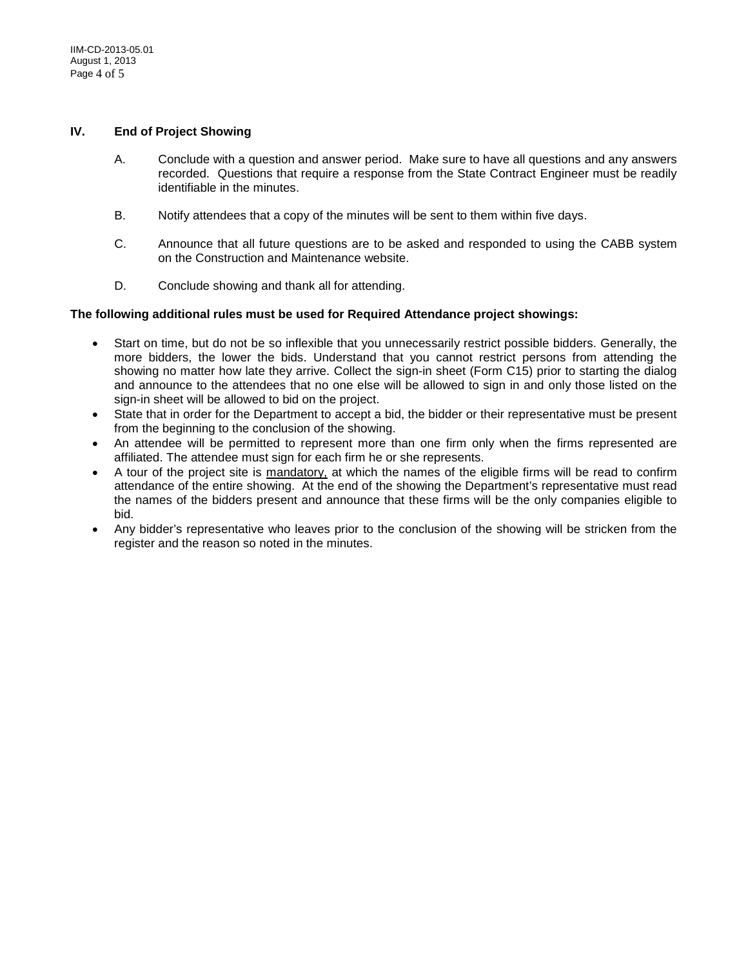#### **IV. End of Project Showing**

- A. Conclude with a question and answer period. Make sure to have all questions and any answers recorded. Questions that require a response from the State Contract Engineer must be readily identifiable in the minutes.
- B. Notify attendees that a copy of the minutes will be sent to them within five days.
- C. Announce that all future questions are to be asked and responded to using the CABB system on the Construction and Maintenance website.
- D. Conclude showing and thank all for attending.

#### **The following additional rules must be used for Required Attendance project showings:**

- Start on time, but do not be so inflexible that you unnecessarily restrict possible bidders. Generally, the more bidders, the lower the bids. Understand that you cannot restrict persons from attending the showing no matter how late they arrive. Collect the sign-in sheet (Form C15) prior to starting the dialog and announce to the attendees that no one else will be allowed to sign in and only those listed on the sign-in sheet will be allowed to bid on the project.
- State that in order for the Department to accept a bid, the bidder or their representative must be present from the beginning to the conclusion of the showing.
- An attendee will be permitted to represent more than one firm only when the firms represented are affiliated. The attendee must sign for each firm he or she represents.
- A tour of the project site is mandatory, at which the names of the eligible firms will be read to confirm attendance of the entire showing. At the end of the showing the Department's representative must read the names of the bidders present and announce that these firms will be the only companies eligible to bid.
- Any bidder's representative who leaves prior to the conclusion of the showing will be stricken from the register and the reason so noted in the minutes.